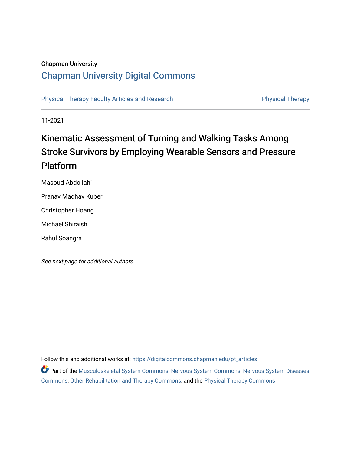## Chapman University

# [Chapman University Digital Commons](https://digitalcommons.chapman.edu/)

[Physical Therapy Faculty Articles and Research](https://digitalcommons.chapman.edu/pt_articles) **Physical Therapy** Physical Therapy

11-2021

# Kinematic Assessment of Turning and Walking Tasks Among Stroke Survivors by Employing Wearable Sensors and Pressure Platform

Masoud Abdollahi

Pranav Madhav Kuber

Christopher Hoang

Michael Shiraishi

Rahul Soangra

See next page for additional authors

Follow this and additional works at: [https://digitalcommons.chapman.edu/pt\\_articles](https://digitalcommons.chapman.edu/pt_articles?utm_source=digitalcommons.chapman.edu%2Fpt_articles%2F168&utm_medium=PDF&utm_campaign=PDFCoverPages) 

Part of the [Musculoskeletal System Commons](http://network.bepress.com/hgg/discipline/938?utm_source=digitalcommons.chapman.edu%2Fpt_articles%2F168&utm_medium=PDF&utm_campaign=PDFCoverPages), [Nervous System Commons,](http://network.bepress.com/hgg/discipline/949?utm_source=digitalcommons.chapman.edu%2Fpt_articles%2F168&utm_medium=PDF&utm_campaign=PDFCoverPages) [Nervous System Diseases](http://network.bepress.com/hgg/discipline/928?utm_source=digitalcommons.chapman.edu%2Fpt_articles%2F168&utm_medium=PDF&utm_campaign=PDFCoverPages)  [Commons](http://network.bepress.com/hgg/discipline/928?utm_source=digitalcommons.chapman.edu%2Fpt_articles%2F168&utm_medium=PDF&utm_campaign=PDFCoverPages), [Other Rehabilitation and Therapy Commons](http://network.bepress.com/hgg/discipline/758?utm_source=digitalcommons.chapman.edu%2Fpt_articles%2F168&utm_medium=PDF&utm_campaign=PDFCoverPages), and the [Physical Therapy Commons](http://network.bepress.com/hgg/discipline/754?utm_source=digitalcommons.chapman.edu%2Fpt_articles%2F168&utm_medium=PDF&utm_campaign=PDFCoverPages)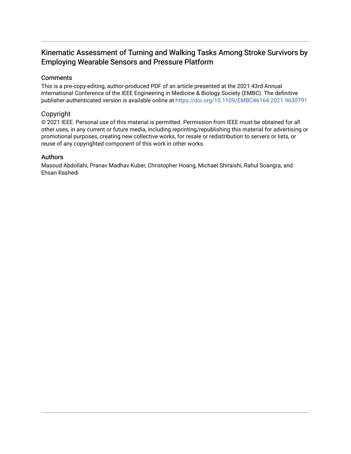# Kinematic Assessment of Turning and Walking Tasks Among Stroke Survivors by Employing Wearable Sensors and Pressure Platform

### **Comments**

This is a pre-copy-editing, author-produced PDF of an article presented at the 2021 43rd Annual International Conference of the IEEE Engineering in Medicine & Biology Society (EMBC). The definitive publisher-authenticated version is available online at<https://doi.org/10.1109/EMBC46164.2021.9630791>

### Copyright

© 2021 IEEE. Personal use of this material is permitted. Permission from IEEE must be obtained for all other uses, in any current or future media, including reprinting/republishing this material for advertising or promotional purposes, creating new collective works, for resale or redistribution to servers or lists, or reuse of any copyrighted component of this work in other works.

### Authors

Masoud Abdollahi, Pranav Madhav Kuber, Christopher Hoang, Michael Shiraishi, Rahul Soangra, and Ehsan Rashedi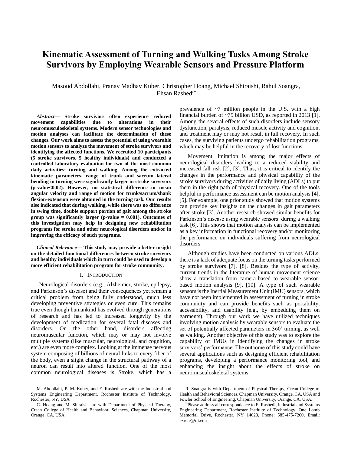# **Kinematic Assessment of Turning and Walking Tasks Among Stroke Survivors by Employing Wearable Sensors and Pressure Platform**

Masoud Abdollahi, Pranav Madhav Kuber, Christopher Hoang, Michael Shiraishi, Rahul Soangra, Ehsan Rashedi\*

*Abstract***— Stroke survivors often experience reduced movement capabilities due to alterations in their neuromusculoskeletal systems. Modern sensor technologies and motion analyses can facilitate the determination of these changes. Our work aims to assess the potential of using wearable motion sensors to analyze the movement of stroke survivors and identifying the affected functions. We recruited 10 participants (5 stroke survivors, 5 healthy individuals) and conducted a controlled laboratory evaluation for two of the most common daily activities: turning and walking. Among the extracted kinematic parameters, range of trunk and sacrum lateral bending in turning were significantly larger in stroke survivors (p-value<0.02). However, no statistical difference in mean angular velocity and range of motion for trunk/sacrum/shank flexion-extension were obtained in the turning task. Our results also indicated that during walking, while there was no difference in swing time, double support portion of gait among the stroke group was significantly larger (p-value = 0.001). Outcomes of this investigation may help in designing new rehabilitation programs for stroke and other neurological disorders and/or in improving the efficacy of such programs.**

*Clinical Relevance***— This study may provide a better insight on the detailed functional differences between stroke survivors and healthy individuals which in turn could be used to develop a more efficient rehabilitation program for stroke community.**

#### I. INTRODUCTION

Neurological disorders (e.g., Alzheimer, stroke, epilepsy, and Parkinson's disease) and their consequences yet remain a critical problem from being fully understood, much less developing preventive strategies or even cure. This remains true even though humankind has evolved through generations of research and has led to increased longevity by the development of medication for several fatal diseases and disorders. On the other hand, disorders affecting neuromuscular function, which may or may not involve multiple systems (like muscular, neurological, and cognition, etc.) are even more complex. Looking at the immense nervous system composing of billions of neural links to every fiber of the body, even a slight change in the structural pathway of a neuron can result into altered function. One of the most common neurological diseases is Stroke, which has a prevalence of  $\sim$ 7 million people in the U.S. with a high financial burden of ~75 billion USD, as reported in 2013 [1]. Among the several effects of such disorders include sensory dysfunction, paralysis, reduced muscle activity and cognition, and treatment may or may not result in full recovery. In such cases, the surviving patients undergo rehabilitation programs, which may be helpful in the recovery of lost functions.

Movement limitation is among the major effects of neurological disorders leading to a reduced stability and increased fall risk [2], [3]. Thus, it is critical to identify the changes in the performance and physical capability of the stroke survivors during activities of daily living (ADLs) to put them in the right path of physical recovery. One of the tools helpful in performance assessment can be motion analysis [4], [5]. For example, one prior study showed that motion systems can provide key insights on the changes in gait parameters after stroke [3]. Another research showed similar benefits for Parkinson's disease using wearable sensors during a walking task [6]. This shows that motion analysis can be implemented as a key information in functional recovery and/or monitoring the performance on individuals suffering from neurological disorders.

Although studies have been conducted on various ADLs, there is a lack of adequate focus on the turning tasks performed by stroke survivors [7], [8]. Besides the type of activity, current trends in the literature of human movement science show a translation from camera-based to wearable sensorbased motion analysis [9], [10]. A type of such wearable sensors is the Inertial Measurement Unit (IMU) sensors, which have not been implemented in assessment of turning in stroke community and can provide benefits such as portability, accessibility, and usability (e.g., by embedding them on garments). Through our work we have utilized techniques involving motion analysis by wearable sensors to evaluate the set of potentially affected parameters in 360˚ turning, as well as walking. Another objective of this study was to explore the capability of IMUs in identifying the changes in stroke survivors' performance. The outcome of this study could have several applications such as designing efficient rehabilitation programs, developing a performance monitoring tool, and enhancing the insight about the effects of stroke on neuromusculoskeletal systems.

M. Abdollahi, P. M. Kuber, and E. Rashedi are with the Industrial and Systems Engineering Department, Rochester Institute of Technology, Rochester, NY, USA

C. Hoang and M. Shiraishi are with Department of Physical Therapy, Crean College of Health and Behavioral Sciences, Chapman University, Orange, CA, USA

R. Soangra is with Department of Physical Therapy, Crean College of Health and Behavioral Sciences, Chapman University, Orange, CA, USA and Fowler School of Engineering, Chapman University, Orange, CA, USA.

<sup>\*</sup> Please address all correspondence to E. Rashedi, Industrial and Systems Engineering Department, Rochester Institute of Technology, One Lomb Memorial Drive, Rochester, NY 14623, Phone: 585-475-7260, Email: exreie@rit.edu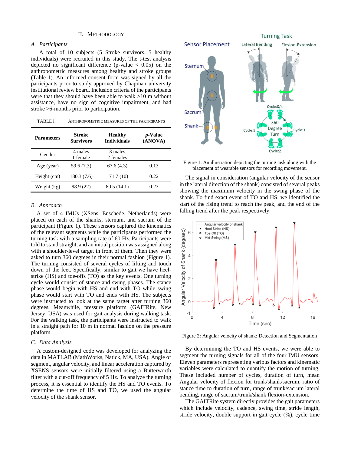#### II. METHODOLOGY

#### *A. Participants*

A total of 10 subjects (5 Stroke survivors, 5 healthy individuals) were recruited in this study. The t-test analysis depicted no significant difference (p-value  $\langle 0.05 \rangle$ ) on the anthropometric measures among healthy and stroke groups (Table 1). An informed consent form was signed by all the participants prior to study approved by Chapman university institutional review board. Inclusion criteria of the participants were that they should have been able to walk >10 m without assistance, have no sign of cognitive impairment, and had stroke >6-months prior to participation.

| TABLE L<br>ANTHROPOMETRIC MEASURES OF THE PARTICIPANTS |  |
|--------------------------------------------------------|--|
|--------------------------------------------------------|--|

| <b>Parameters</b> | Stroke<br><b>Survivors</b> | <b>Healthy</b><br><b>Individuals</b> | <i>p</i> -Value<br>(ANOVA) |
|-------------------|----------------------------|--------------------------------------|----------------------------|
| Gender            | 4 males<br>1 female        | 3 males<br>2 females                 |                            |
| Age (year)        | 59.6 (7.3)                 | 67.6(4.3)                            | 0.13                       |
| Height (cm)       | 180.3 (7.6)                | 171.7 (10)                           | 0.22                       |
| Weight (kg)       | 98.9 (22)                  | 80.5 (14.1)                          | 0.23                       |

#### *B. Approach*

A set of 4 IMUs (XSens, Enschede, Netherlands) were placed on each of the shanks, sternum, and sacrum of the participant (Figure 1). These sensors captured the kinematics of the relevant segments while the participants performed the turning task with a sampling rate of 60 Hz. Participants were told to stand straight, and an initial position was assigned along with a shoulder-level target in front of them. Then they were asked to turn 360 degrees in their normal fashion (Figure 1). The turning consisted of several cycles of lifting and touch down of the feet. Specifically, similar to gait we have heelstrike (HS) and toe-offs (TO) as the key events. One turning cycle would consist of stance and swing phases. The stance phase would begin with HS and end with TO while swing phase would start with TO and ends with HS. The subjects were instructed to look at the same target after turning 360 degrees. Meanwhile, pressure platform (GAITRite, New Jersey, USA) was used for gait analysis during walking task. For the walking task, the participants were instructed to walk in a straight path for 10 m in normal fashion on the pressure platform.

#### *C. Data Analysis*

A custom-designed code was developed for analyzing the data in MATLAB (MathWorks, Natick, MA, USA). Angle of segment, angular velocity, and linear acceleration captured by XSENS sensors were initially filtered using a Butterworth filter with a cut-off frequency of 5 Hz. To analyze the turning process, it is essential to identify the HS and TO events. To determine the time of HS and TO, we used the angular velocity of the shank sensor.



Figure 1. An illustration depicting the turning task along with the placement of wearable sensors for recording movement.

The signal in consideration (angular velocity of the sensor in the lateral direction of the shank) consisted of several peaks showing the maximum velocity in the swing phase of the shank. To find exact event of TO and HS, we identified the start of the rising trend to reach the peak, and the end of the falling trend after the peak respectively.



Figure 2: Angular velocity of shank: Detection and Segmentation

By determining the TO and HS events, we were able to segment the turning signals for all of the four IMU sensors. Eleven parameters representing various factors and kinematic variables were calculated to quantify the motion of turning. These included number of cycles, duration of turn, mean Angular velocity of flexion for trunk/shank/sacrum, ratio of stance time to duration of turn, range of trunk/sacrum lateral bending, range of sacrum/trunk/shank flexion-extension.

The GAITRite system directly provides the gait parameters which include velocity, cadence, swing time, stride length, stride velocity, double support in gait cycle (%), cycle time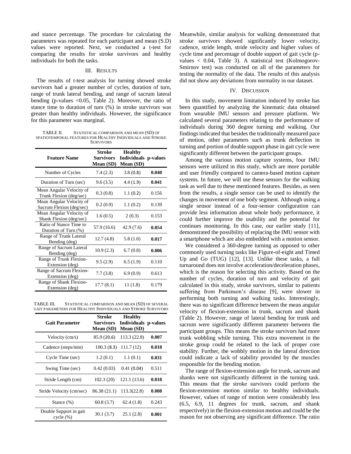and stance percentage. The procedure for calculating the parameters was repeated for each participant and mean (S.D) values were reported. Next, we conducted a t-test for comparing the results for stroke survivors and healthy individuals for both the tasks.

#### III. RESULTS

The results of t-test analysis for turning showed stroke survivors had a greater number of cycles, duration of turn, range of trunk lateral bending, and range of sacrum lateral bending (p-values <0.05, Table 2). Moreover, the ratio of stance time to duration of turn (%) in stroke survivors was greater than healthy individuals. However, the significance for this parameter was marginal.

TABLE II. STATISTICAL COMPARISON AND MEAN (SD) OF SPATIOTEMPORAL FEATURES FOR HEALTHY INDIVIDUALS AND STROKE **SURVIVORS** 

| <b>Feature Name</b>                                  | <b>Stroke</b><br><b>Survivors</b><br>Mean (SD) | <b>Healthy</b><br><b>Individuals p-values</b><br>Mean (SD) |       |
|------------------------------------------------------|------------------------------------------------|------------------------------------------------------------|-------|
| Number of Cycles                                     | 7.4(2.3)                                       | 3.8(0.8)                                                   | 0.040 |
| Duration of Turn (sec)                               | 9.6(3.5)                                       | 4.4(1.9)                                                   | 0.041 |
| Mean Angular Velocity of<br>Trunk Flexion (deg/sec)  | 0.3(0.8)                                       | 1.1(0.2)                                                   | 0.156 |
| Mean Angular Velocity of<br>Sacrum Flexion (deg/sec) | 0.2(0.9)                                       | 1.1(0.2)                                                   | 0.139 |
| Mean Angular Velocity of<br>Shank Flexion (deg/sec)  | 1.6(0.5)                                       | 2(0.3)                                                     | 0.153 |
| Ratio of Stance Time to<br>Duration of Turn (%)      | 57.9 (16.6)                                    | 42.9(7.6)                                                  | 0.054 |
| Range of Trunk Lateral<br>Bending (deg)              | 12.7(4.8)                                      | 5.8(1.0)                                                   | 0.017 |
| Range of Sacrum Lateral<br>Bending (deg)             | 10.9(2.3)                                      | 6.7(0.8)                                                   | 0.006 |
| Range of Trunk Flexion-<br>Extension (deg)           | 9.5(2.9)                                       | 6.5(1.9)                                                   | 0.110 |
| Range of Sacrum Flexion-<br>Extension (deg)          | 7.7(3.8)                                       | 6.9(0.9)                                                   | 0.613 |
| Range of Shank Flexion-<br>Extension (deg)           | 17.7(8.1)                                      | 11(1.8)                                                    | 0.179 |

TABLE III. STATISTICAL COMPARISON AND MEAN (SD) OF SEVERAL GAIT PARAMETERS FOR HEALTHY INDIVIDUALS AND STROKE SURVIVORS

| <b>Gait Parameter</b>               | Stroke<br>Survivors<br>Mean (SD) | <b>Healthy</b><br>Individuals p-values<br>Mean (SD) |       |
|-------------------------------------|----------------------------------|-----------------------------------------------------|-------|
| Velocity (cm/s)                     | 85.9 (20.6)                      | 113.3 (22.8)                                        | 0.007 |
| Cadence (steps/min)                 | 100.3(8.3)                       | 111.7(12)                                           | 0.018 |
| Cycle Time (sec)                    | 1.2(0.1)                         | 1.1(0.1)                                            | 0.031 |
| Swing Time (sec)                    | 0.42(0.03)                       | 0.41(0.04)                                          | 0.511 |
| Stride Length (cm)                  | 102.3(20)                        | 121.1 (13.6)                                        | 0.018 |
| Stride Velocity (cm/sec)            | 86.38 (21.1)                     | 113.3(22.8)                                         | 0.008 |
| Stance $(\%)$                       | 60.8(3.7)                        | 62.4(1.8)                                           | 0.243 |
| Double Support in gait<br>cycle (%) | 30.1 (3.7)                       | 25.1(2.8)                                           | 0.001 |

Meanwhile, similar analysis for walking demonstrated that stroke survivors showed significantly lower velocity, cadence, stride length, stride velocity and higher values of cycle time and percentage of double support of gait cycle (pvalues < 0.04, Table 3). A statistical test (Kolmogorov-Smirnov test) was conducted on all of the parameters for testing the normality of the data. The results of this analysis did not show any deviations from normality in our dataset.

#### IV. DISCUSSION

In this study, movement limitation induced by stroke has been quantified by analyzing the kinematic data obtained from wearable IMU sensors and pressure platform. We calculated several parameters relating to the performance of individuals during 360 degree turning and walking. Our findings indicated that besides the traditionally measured pace of motion, other parameters such as trunk deflection in turning and portion of double support phase in gait cycle were significantly different between the participant groups.

Among the various motion capture systems, four IMU sensors were utilized in this study, which are more portable and user friendly compared to camera-based motion capture systems. In future, we will use these sensors for the walking task as well due to these mentioned features. Besides, as seen from the results, a single sensor can be used to identify the changes in movement of one body segment. Although using a single sensor instead of a four-sensor configuration can provide less information about whole body performance, it could further improve the usability and the potential for continues monitoring. In this case, our earlier study [11], demonstrated the possibility of replacing the IMU sensor with a smartphone which are also embedded with a motion sensor.

We considered a 360-degree turning as opposed to other commonly used turning tasks like Figure-of-eight and Timed Up and Go (TUG) [12], [13]. Unlike these tasks, a full turnaround does not involve acceleration/deceleration phases, which is the reason for selecting this activity. Based on the number of cycles, duration of turn and velocity of gait calculated in this study, stroke survivors, similar to patients suffering from Parkinson's disease [9], were slower in performing both turning and walking tasks. Interestingly, there was no significant difference between the mean angular velocity of flexion-extension in trunk, sacrum and shank (Table 2). However, range of lateral bending for trunk and sacrum were significantly different parameter between the participant groups. This means the stroke survivors had more trunk wobbling while turning. This extra movement in the stroke group could be related to the lack of proper core stability. Further, the wobbly motion in the lateral direction could indicate a lack of stability provided by the muscles responsible for the bending motion.

The range of flexion-extension angle for trunk, sacrum and shanks were not significantly different in the turning task. This means that the stroke survivors could perform the flexion-extension motion similar to healthy individuals. However, values of range of motion were considerably less (6.5, 6.9, 11 degrees for trunk, sacrum, and shank respectively) in the flexion-extension motion and could be the reason for not observing any significant difference. The ratio